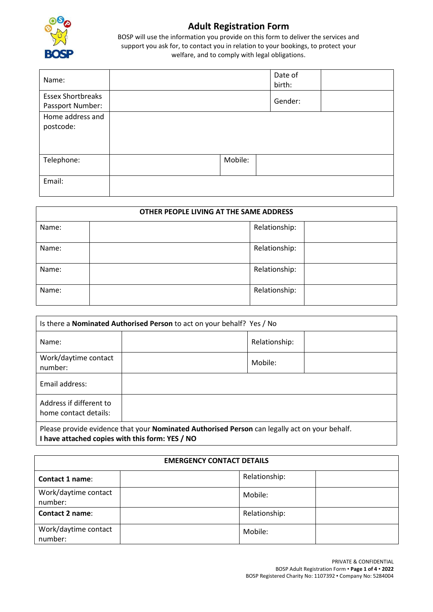

## **Adult Registration Form**

BOSP will use the information you provide on this form to deliver the services and support you ask for, to contact you in relation to your bookings, to protect your welfare, and to comply with legal obligations.

| Name:                                        |         | Date of<br>birth: |  |
|----------------------------------------------|---------|-------------------|--|
| <b>Essex Shortbreaks</b><br>Passport Number: |         | Gender:           |  |
| Home address and<br>postcode:                |         |                   |  |
| Telephone:                                   | Mobile: |                   |  |
| Email:                                       |         |                   |  |

| OTHER PEOPLE LIVING AT THE SAME ADDRESS |  |               |  |  |
|-----------------------------------------|--|---------------|--|--|
| Name:                                   |  | Relationship: |  |  |
| Name:                                   |  | Relationship: |  |  |
| Name:                                   |  | Relationship: |  |  |
| Name:                                   |  | Relationship: |  |  |

| Is there a <b>Nominated Authorised Person</b> to act on your behalf? Yes / No                                                                    |  |               |  |  |
|--------------------------------------------------------------------------------------------------------------------------------------------------|--|---------------|--|--|
| Name:                                                                                                                                            |  | Relationship: |  |  |
| Work/daytime contact<br>number:                                                                                                                  |  | Mobile:       |  |  |
| Email address:                                                                                                                                   |  |               |  |  |
| Address if different to<br>home contact details:                                                                                                 |  |               |  |  |
| Please provide evidence that your Nominated Authorised Person can legally act on your behalf.<br>I have attached copies with this form: YES / NO |  |               |  |  |

| <b>EMERGENCY CONTACT DETAILS</b> |  |               |  |  |
|----------------------------------|--|---------------|--|--|
| Contact 1 name:                  |  | Relationship: |  |  |
| Work/daytime contact<br>number:  |  | Mobile:       |  |  |
| <b>Contact 2 name:</b>           |  | Relationship: |  |  |
| Work/daytime contact<br>number:  |  | Mobile:       |  |  |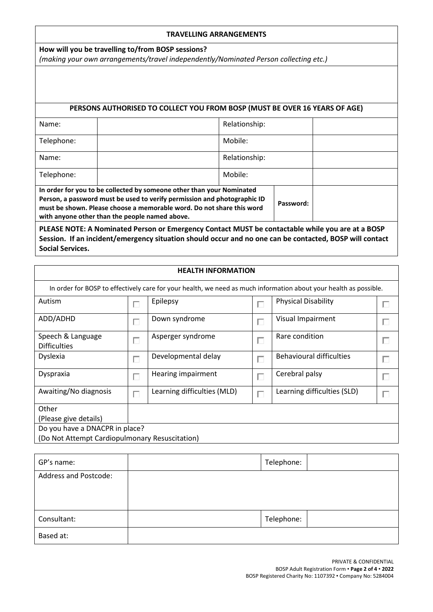## **TRAVELLING ARRANGEMENTS**

**How will you be travelling to/from BOSP sessions?**  *(making your own arrangements/travel independently/Nominated Person collecting etc.)*

## **PERSONS AUTHORISED TO COLLECT YOU FROM BOSP (MUST BE OVER 16 YEARS OF AGE)**

| Name:                                                                                                                                                                                                                                                                        |  | Relationship: |  |  |
|------------------------------------------------------------------------------------------------------------------------------------------------------------------------------------------------------------------------------------------------------------------------------|--|---------------|--|--|
| Telephone:                                                                                                                                                                                                                                                                   |  | Mobile:       |  |  |
| Name:                                                                                                                                                                                                                                                                        |  | Relationship: |  |  |
| Telephone:                                                                                                                                                                                                                                                                   |  | Mobile:       |  |  |
|                                                                                                                                                                                                                                                                              |  |               |  |  |
| In order for you to be collected by someone other than your Nominated<br>Person, a password must be used to verify permission and photographic ID<br>must be shown. Please choose a memorable word. Do not share this word<br>with anyone other than the people named above. |  | Password:     |  |  |

**PLEASE NOTE: A Nominated Person or Emergency Contact MUST be contactable while you are at a BOSP Session. If an incident/emergency situation should occur and no one can be contacted, BOSP will contact Social Services.**

| <b>HEALTH INFORMATION</b>                                                                                         |   |                             |        |                                 |  |  |
|-------------------------------------------------------------------------------------------------------------------|---|-----------------------------|--------|---------------------------------|--|--|
| In order for BOSP to effectively care for your health, we need as much information about your health as possible. |   |                             |        |                                 |  |  |
| Autism                                                                                                            |   | Epilepsy                    | L.     | <b>Physical Disability</b>      |  |  |
| ADD/ADHD                                                                                                          |   | Down syndrome               | $\Box$ | Visual Impairment               |  |  |
| Speech & Language<br><b>Difficulties</b>                                                                          |   | Asperger syndrome           | $\Box$ | Rare condition                  |  |  |
| <b>Dyslexia</b>                                                                                                   |   | Developmental delay         | $\Box$ | <b>Behavioural difficulties</b> |  |  |
| Dyspraxia                                                                                                         |   | Hearing impairment          | $\Box$ | Cerebral palsy                  |  |  |
| Awaiting/No diagnosis                                                                                             | ш | Learning difficulties (MLD) | П      | Learning difficulties (SLD)     |  |  |
| Other                                                                                                             |   |                             |        |                                 |  |  |
| (Please give details)                                                                                             |   |                             |        |                                 |  |  |
| Do you have a DNACPR in place?                                                                                    |   |                             |        |                                 |  |  |
| (Do Not Attempt Cardiopulmonary Resuscitation)                                                                    |   |                             |        |                                 |  |  |

| GP's name:                   | Telephone: |  |
|------------------------------|------------|--|
| <b>Address and Postcode:</b> |            |  |
|                              |            |  |
|                              |            |  |
| Consultant:                  | Telephone: |  |
| Based at:                    |            |  |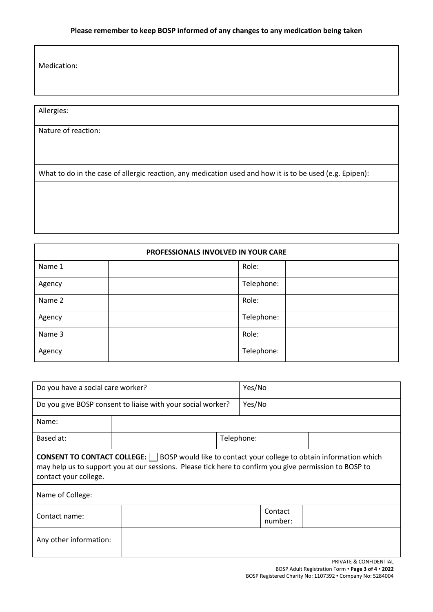| Medication: |  |
|-------------|--|
|             |  |

| Allergies:                                                                                               |  |  |  |  |
|----------------------------------------------------------------------------------------------------------|--|--|--|--|
| Nature of reaction:                                                                                      |  |  |  |  |
|                                                                                                          |  |  |  |  |
|                                                                                                          |  |  |  |  |
| What to do in the case of allergic reaction, any medication used and how it is to be used (e.g. Epipen): |  |  |  |  |
|                                                                                                          |  |  |  |  |
|                                                                                                          |  |  |  |  |
|                                                                                                          |  |  |  |  |

| PROFESSIONALS INVOLVED IN YOUR CARE |            |  |  |  |
|-------------------------------------|------------|--|--|--|
| Name 1                              | Role:      |  |  |  |
| Agency                              | Telephone: |  |  |  |
| Name 2                              | Role:      |  |  |  |
| Agency                              | Telephone: |  |  |  |
| Name 3                              | Role:      |  |  |  |
| Agency                              | Telephone: |  |  |  |

| Do you have a social care worker?                                                                                                                                                                                                           |  | Yes/No     |                    |  |  |
|---------------------------------------------------------------------------------------------------------------------------------------------------------------------------------------------------------------------------------------------|--|------------|--------------------|--|--|
| Do you give BOSP consent to liaise with your social worker?                                                                                                                                                                                 |  |            | Yes/No             |  |  |
| Name:                                                                                                                                                                                                                                       |  |            |                    |  |  |
| Based at:                                                                                                                                                                                                                                   |  | Telephone: |                    |  |  |
| <b>CONSENT TO CONTACT COLLEGE:</b>   BOSP would like to contact your college to obtain information which<br>may help us to support you at our sessions. Please tick here to confirm you give permission to BOSP to<br>contact your college. |  |            |                    |  |  |
| Name of College:                                                                                                                                                                                                                            |  |            |                    |  |  |
| Contact name:                                                                                                                                                                                                                               |  |            | Contact<br>number: |  |  |
| Any other information:                                                                                                                                                                                                                      |  |            |                    |  |  |